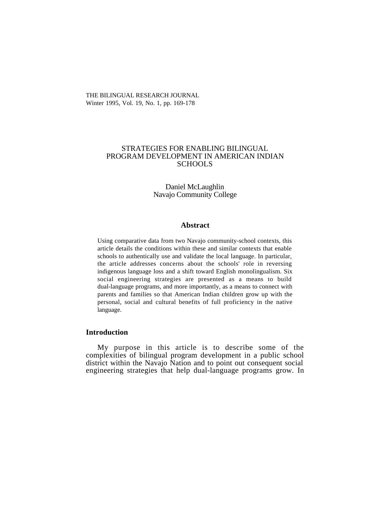## THE BILINGUAL RESEARCH JOURNAL Winter 1995, Vol. 19, No. 1, pp. 169-178

# STRATEGIES FOR ENABLING BILINGUAL PROGRAM DEVELOPMENT IN AMERICAN INDIAN **SCHOOLS**

## Daniel McLaughlin Navajo Community College

# **Abstract**

Using comparative data from two Navajo community-school contexts, this article details the conditions within these and similar contexts that enable schools to authentically use and validate the local language. In particular, the article addresses concerns about the schools' role in reversing indigenous language loss and a shift toward English monolingualism. Six social engineering strategies are presented as a means to build dual-language programs, and more importantly, as a means to connect with parents and families so that American Indian children grow up with the personal, social and cultural benefits of full proficiency in the native language.

# **Introduction**

My purpose in this article is to describe some of the complexities of bilingual program development in a public school district within the Navajo Nation and to point out consequent social engineering strategies that help dual-language programs grow. In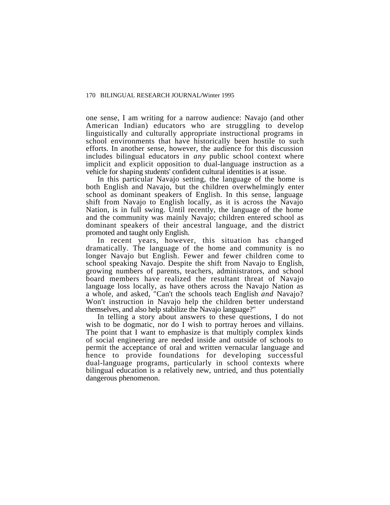one sense, I am writing for a narrow audience: Navajo (and other American Indian) educators who are struggling to develop linguistically and culturally appropriate instructional programs in school environments that have historically been hostile to such efforts. In another sense, however, the audience for this discussion includes bilingual educators in *any* public school context where implicit and explicit opposition to dual-language instruction as a vehicle for shaping students' confident cultural identities is at issue.

In this particular Navajo setting, the language of the home is both English and Navajo, but the children overwhelmingly enter school as dominant speakers of English. In this sense, language shift from Navajo to English locally, as it is across the Navajo Nation, is in full swing. Until recently, the language of the home and the community was mainly Navajo; children entered school as dominant speakers of their ancestral language, and the district promoted and taught only English.

In recent years, however, this situation has changed dramatically. The language of the home and community is no longer Navajo but English. Fewer and fewer children come to school speaking Navajo. Despite the shift from Navajo to English, growing numbers of parents, teachers, administrators, and school board members have realized the resultant threat of Navajo language loss locally, as have others across the Navajo Nation as a whole, and asked, "Can't the schools teach English *and* Navajo? Won't instruction in Navajo help the children better understand themselves, and also help stabilize the Navajo language?"

In telling a story about answers to these questions, I do not wish to be dogmatic, nor do I wish to portray heroes and villains. The point that I want to emphasize is that multiply complex kinds of social engineering are needed inside and outside of schools to permit the acceptance of oral and written vernacular language and hence to provide foundations for developing successful dual-language programs, particularly in school contexts where bilingual education is a relatively new, untried, and thus potentially dangerous phenomenon.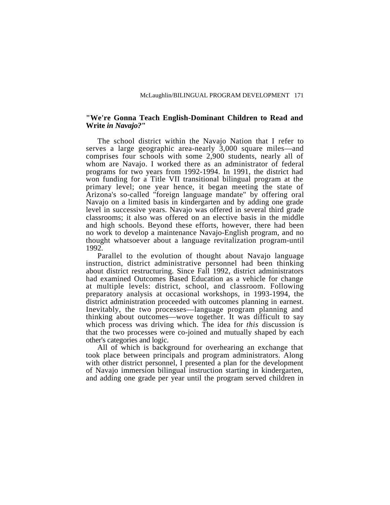# **"We're Gonna Teach English-Dominant Children to Read and Write** *in Navajo?***"**

The school district within the Navajo Nation that I refer to serves a large geographic area-nearly 3,000 square miles—and comprises four schools with some 2,900 students, nearly all of whom are Navajo. I worked there as an administrator of federal programs for two years from 1992-1994. In 1991, the district had won funding for a Title VII transitional bilingual program at the primary level; one year hence, it began meeting the state of Arizona's so-called "foreign language mandate" by offering oral Navajo on a limited basis in kindergarten and by adding one grade level in successive years. Navajo was offered in several third grade classrooms; it also was offered on an elective basis in the middle and high schools. Beyond these efforts, however, there had been no work to develop a maintenance Navajo-English program, and no thought whatsoever about a language revitalization program-until 1992.

Parallel to the evolution of thought about Navajo language instruction, district administrative personnel had been thinking about district restructuring. Since Fall 1992, district administrators had examined Outcomes Based Education as a vehicle for change at multiple levels: district, school, and classroom. Following preparatory analysis at occasional workshops, in 1993-1994, the district administration proceeded with outcomes planning in earnest. Inevitably, the two processes—language program planning and thinking about outcomes—wove together. It was difficult to say which process was driving which. The idea for *this* discussion is that the two processes were co-joined and mutually shaped by each other's categories and logic.

All of which is background for overhearing an exchange that took place between principals and program administrators. Along with other district personnel, I presented a plan for the development of Navajo immersion bilingual instruction starting in kindergarten, and adding one grade per year until the program served children in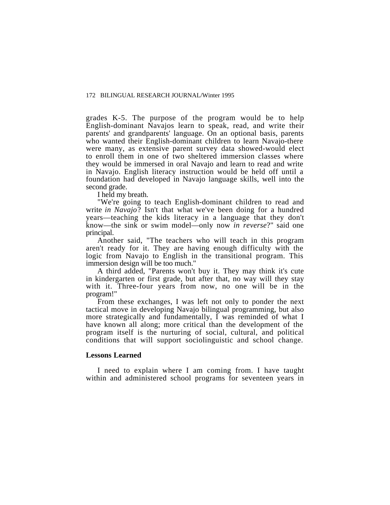grades K-5. The purpose of the program would be to help English-dominant Navajos learn to speak, read, and write their parents' and grandparents' language. On an optional basis, parents who wanted their English-dominant children to learn Navajo-there were many, as extensive parent survey data showed-would elect to enroll them in one of two sheltered immersion classes where they would be immersed in oral Navajo and learn to read and write in Navajo. English literacy instruction would be held off until a foundation had developed in Navajo language skills, well into the second grade.

I held my breath.

"We're going to teach English-dominant children to read and write *in Navajo*? Isn't that what we've been doing for a hundred years—teaching the kids literacy in a language that they don't know—the sink or swim model—only now *in reverse*?" said one principal.

Another said, "The teachers who will teach in this program aren't ready for it. They are having enough difficulty with the logic from Navajo to English in the transitional program. This immersion design will be too much."

A third added, "Parents won't buy it. They may think it's cute in kindergarten or first grade, but after that, no way will they stay with it. Three-four years from now, no one will be in the program!"

From these exchanges, I was left not only to ponder the next tactical move in developing Navajo bilingual programming, but also more strategically and fundamentally, I was reminded of what I have known all along; more critical than the development of the program itself is the nurturing of social, cultural, and political conditions that will support sociolinguistic and school change.

## **Lessons Learned**

I need to explain where I am coming from. I have taught within and administered school programs for seventeen years in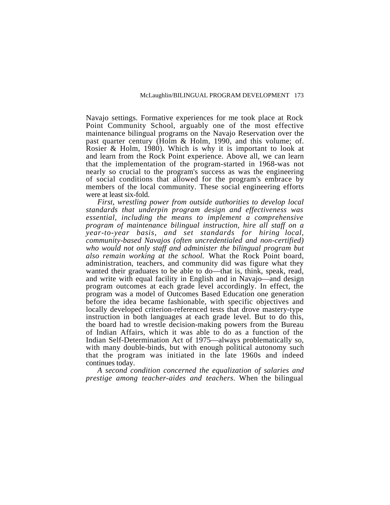Navajo settings. Formative experiences for me took place at Rock Point Community School, arguably one of the most effective maintenance bilingual programs on the Navajo Reservation over the past quarter century (Holm & Holm, 1990, and this volume; of. Rosier & Holm, 1980). Which is why it is important to look at and learn from the Rock Point experience. Above all, we can learn that the implementation of the program-started in 1968-was not nearly so crucial to the program's success as was the engineering of social conditions that allowed for the program's embrace by members of the local community. These social engineering efforts were at least six-fold.

*First, wrestling power from outside authorities to develop local standards that underpin program design and effectiveness was essential, including the means to implement a comprehensive program of maintenance bilingual instruction, hire all staff on a year-to-year basis, and set standards for hiring local, community-based Navajos (often uncredentialed and non-certified) who would not only staff and administer the bilingual program but also remain working at the school.* What the Rock Point board, administration, teachers, and community did was figure what they wanted their graduates to be able to do—that is, think, speak, read, and write with equal facility in English and in Navajo—and design program outcomes at each grade level accordingly. In effect, the program was a model of Outcomes Based Education one generation before the idea became fashionable, with specific objectives and locally developed criterion-referenced tests that drove mastery-type instruction in both languages at each grade level. But to do this, the board had to wrestle decision-making powers from the Bureau of Indian Affairs, which it was able to do as a function of the Indian Self-Determination Act of 1975—always problematically so, with many double-binds, but with enough political autonomy such that the program was initiated in the late 1960s and indeed continues today.

*A second condition concerned the equalization of salaries and prestige among teacher-aides and teachers.* When the bilingual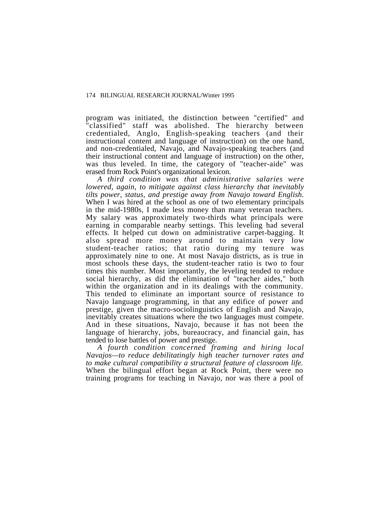program was initiated, the distinction between "certified" and "classified" staff was abolished. The hierarchy between credentialed, Anglo, English-speaking teachers (and their instructional content and language of instruction) on the one hand, and non-credentialed, Navajo, and Navajo-speaking teachers (and their instructional content and language of instruction) on the other, was thus leveled. In time, the category of "teacher-aide" was erased from Rock Point's organizational lexicon.

*A third condition was that administrative salaries were lowered, again, to mitigate against class hierarchy that inevitably tilts power, status, and prestige away from Navajo toward English.* When I was hired at the school as one of two elementary principals in the mid-1980s, I made less money than many veteran teachers. My salary was approximately two-thirds what principals were earning in comparable nearby settings. This leveling had several effects. It helped cut down on administrative carpet-bagging. It also spread more money around to maintain very low student-teacher ratios; that ratio during my tenure was approximately nine to one. At most Navajo districts, as is true in most schools these days, the student-teacher ratio is two to four times this number. Most importantly, the leveling tended to reduce social hierarchy, as did the elimination of "teacher aides," both within the organization and in its dealings with the community. This tended to eliminate an important source of resistance to Navajo language programming, in that any edifice of power and prestige, given the macro-sociolinguistics of English and Navajo, inevitably creates situations where the two languages must compete. And in these situations, Navajo, because it has not been the language of hierarchy, jobs, bureaucracy, and financial gain, has tended to lose battles of power and prestige.

*A fourth condition concerned framing and hiring local Navajos—to reduce debilitatingly high teacher turnover rates and to make cultural compatibility a structural feature of classroom life.* When the bilingual effort began at Rock Point, there were no training programs for teaching in Navajo, nor was there a pool of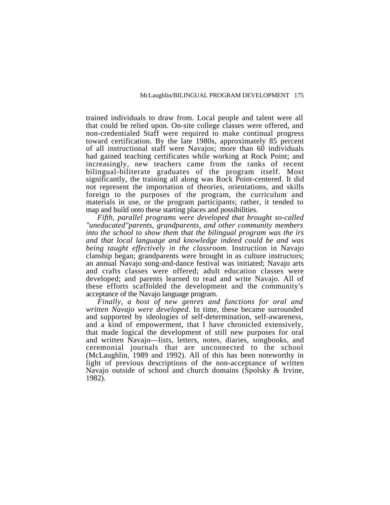trained individuals to draw from. Local people and talent were all that could be relied upon. On-site college classes were offered, and non-credentialed Staff were required to make continual progress toward certification. By the late 1980s, approximately 85 percent of all instructional staff were Navajos; more than 60 individuals had gained teaching certificates while working at Rock Point; and increasingly, new teachers came from the ranks of recent bilingual-biliterate graduates of the program itself. Most significantly, the training all along was Rock Point-centered. It did not represent the importation of theories, orientations, and skills foreign to the purposes of the program, the curriculum and materials in use, or the program participants; rather, it tended to map and build onto these starting places and possibilities.

*Fifth, parallel programs were developed that brought so-called "uneducated"parents, grandparents, and other community members into the school to show them that the bilingual program was the irs and that local language and knowledge indeed could be and was being taught effectively in the classroom.* Instruction in Navajo clanship began; grandparents were brought in as culture instructors; an annual Navajo song-and-dance festival was initiated; Navajo arts and crafts classes were offered; adult education classes were developed; and parents learned to read and write Navajo. All of these efforts scaffolded the development and the community's acceptance of the Navajo language program.

*Finally, a host of new genres and functions for oral and written Navajo were developed.* In time, these became surrounded and supported by ideologies of self-determination, self-awareness, and a kind of empowerment, that I have chronicled extensively, that made logical the development of still new purposes for oral and written Navajo—lists, letters, notes, diaries, songbooks, and ceremonial journals that are unconnected to the school (McLaughlin, 1989 and 1992). All of this has been noteworthy in light of previous descriptions of the non-acceptance of written Navajo outside of school and church domains (Spolsky & Irvine, 1982).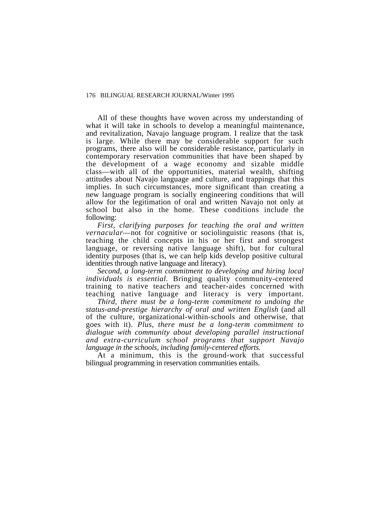All of these thoughts have woven across my understanding of what it will take in schools to develop a meaningful maintenance, and revitalization, Navajo language program. I realize that the task is large. While there may be considerable support for such programs, there also will be considerable resistance, particularly in contemporary reservation communities that have been shaped by the development of a wage economy and sizable middle class—with all of the opportunities, material wealth, shifting attitudes about Navajo language and culture, and trappings that this implies. In such circumstances, more significant than creating a new language program is socially engineering conditions that will allow for the legitimation of oral and written Navajo not only at school but also in the home. These conditions include the following:

*First, clarifying purposes for teaching the oral and written vernacular*—not for cognitive or sociolinguistic reasons (that is, teaching the child concepts in his or her first and strongest language, or reversing native language shift), but for cultural identity purposes (that is, we can help kids develop positive cultural identities through native language and literacy).

*Second, a long-term commitment to developing and hiring local individuals is essential.* Bringing quality community-centered training to native teachers and teacher-aides concerned with teaching native language and literacy is very important.

*Third, there must be a long-term commitment to undoing the status-and-prestige hierarchy of oral and written English* (and all of the culture, organizational-within-schools and otherwise, that goes with it). *Plus, there must be a long-term commitment to dialogue with community about developing parallel instructional and extra-curriculum school programs that support Navajo language in the schools, including family-centered efforts.*

At a minimum, this is the ground-work that successful bilingual programming in reservation communities entails.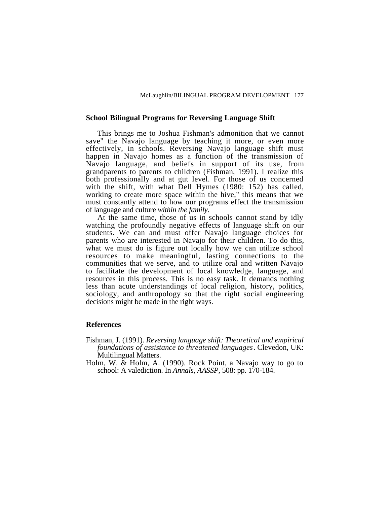## **School Bilingual Programs for Reversing Language Shift**

This brings me to Joshua Fishman's admonition that we cannot save" the Navajo language by teaching it more, or even more effectively, in schools. Reversing Navajo language shift must happen in Navajo homes as a function of the transmission of Navajo language, and beliefs in support of its use, from grandparents to parents to children (Fishman, 1991). I realize this both professionally and at gut level. For those of us concerned with the shift, with what Dell Hymes (1980: 152) has called, working to create more space within the hive," this means that we must constantly attend to how our programs effect the transmission of language and culture *within the family.*

At the same time, those of us in schools cannot stand by idly watching the profoundly negative effects of language shift on our students. We can and must offer Navajo language choices for parents who are interested in Navajo for their children. To do this, what we must do is figure out locally how we can utilize school resources to make meaningful, lasting connections to the communities that we serve, and to utilize oral and written Navajo to facilitate the development of local knowledge, language, and resources in this process. This is no easy task. It demands nothing less than acute understandings of local religion, history, politics, sociology, and anthropology so that the right social engineering decisions might be made in the right ways.

## **References**

- Fishman, J. (1991). *Reversing language shift: Theoretical and empirical foundations of assistance to threatened languages*. Clevedon, UK: Multilingual Matters.
- Holm, W. & Holm, A. (1990). Rock Point, a Navajo way to go to school: A valediction. In *Annals, AASSP*, 508: pp. 170-184.